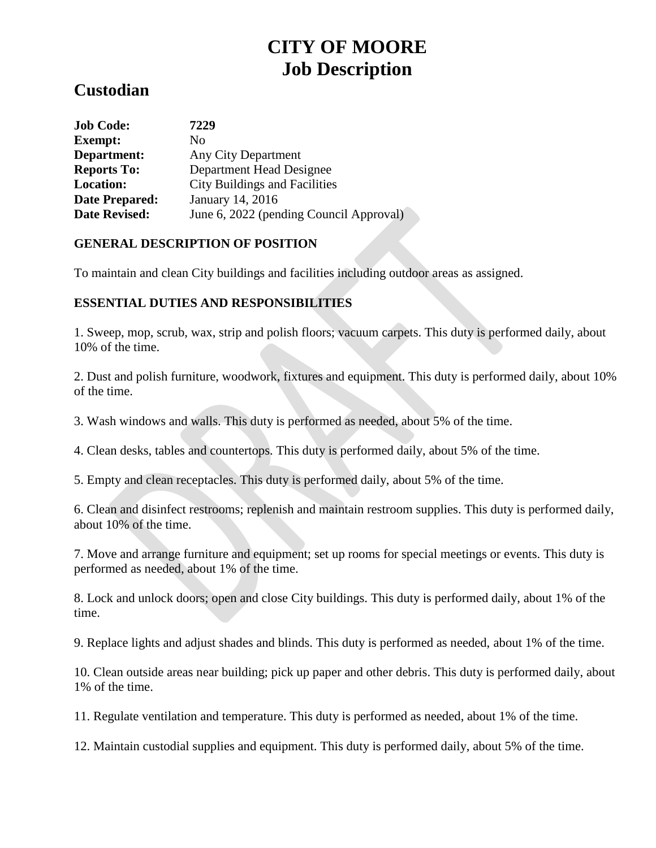# **CITY OF MOORE Job Description**

# **Custodian**

| <b>Job Code:</b>      | 7229                                    |
|-----------------------|-----------------------------------------|
| <b>Exempt:</b>        | No.                                     |
| Department:           | Any City Department                     |
| <b>Reports To:</b>    | Department Head Designee                |
| <b>Location:</b>      | <b>City Buildings and Facilities</b>    |
| <b>Date Prepared:</b> | January 14, 2016                        |
| <b>Date Revised:</b>  | June 6, 2022 (pending Council Approval) |

# **GENERAL DESCRIPTION OF POSITION**

To maintain and clean City buildings and facilities including outdoor areas as assigned.

# **ESSENTIAL DUTIES AND RESPONSIBILITIES**

1. Sweep, mop, scrub, wax, strip and polish floors; vacuum carpets. This duty is performed daily, about 10% of the time.

2. Dust and polish furniture, woodwork, fixtures and equipment. This duty is performed daily, about 10% of the time.

3. Wash windows and walls. This duty is performed as needed, about 5% of the time.

4. Clean desks, tables and countertops. This duty is performed daily, about 5% of the time.

5. Empty and clean receptacles. This duty is performed daily, about 5% of the time.

6. Clean and disinfect restrooms; replenish and maintain restroom supplies. This duty is performed daily, about 10% of the time.

7. Move and arrange furniture and equipment; set up rooms for special meetings or events. This duty is performed as needed, about 1% of the time.

8. Lock and unlock doors; open and close City buildings. This duty is performed daily, about 1% of the time.

9. Replace lights and adjust shades and blinds. This duty is performed as needed, about 1% of the time.

10. Clean outside areas near building; pick up paper and other debris. This duty is performed daily, about 1% of the time.

11. Regulate ventilation and temperature. This duty is performed as needed, about 1% of the time.

12. Maintain custodial supplies and equipment. This duty is performed daily, about 5% of the time.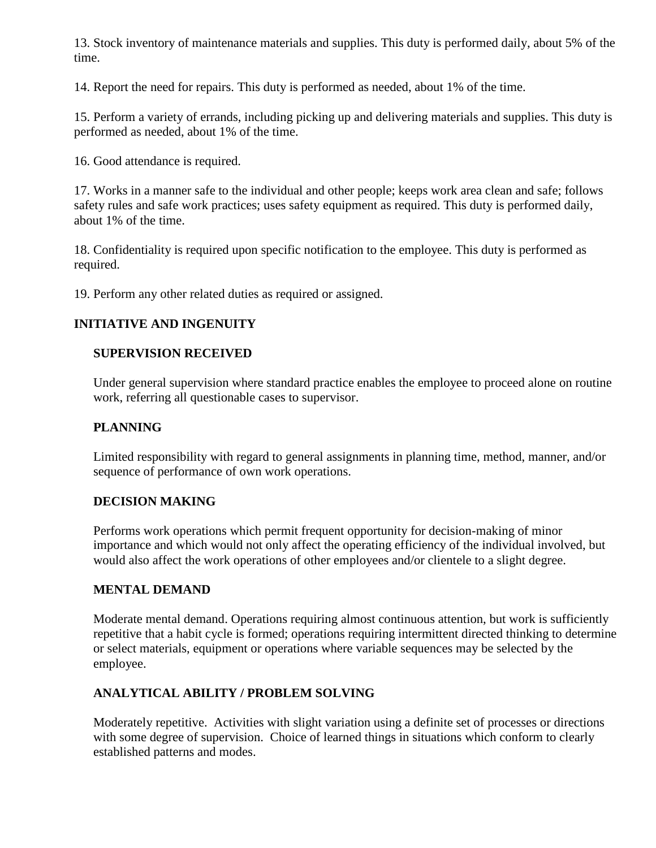13. Stock inventory of maintenance materials and supplies. This duty is performed daily, about 5% of the time.

14. Report the need for repairs. This duty is performed as needed, about 1% of the time.

15. Perform a variety of errands, including picking up and delivering materials and supplies. This duty is performed as needed, about 1% of the time.

16. Good attendance is required.

17. Works in a manner safe to the individual and other people; keeps work area clean and safe; follows safety rules and safe work practices; uses safety equipment as required. This duty is performed daily, about 1% of the time.

18. Confidentiality is required upon specific notification to the employee. This duty is performed as required.

19. Perform any other related duties as required or assigned.

# **INITIATIVE AND INGENUITY**

# **SUPERVISION RECEIVED**

Under general supervision where standard practice enables the employee to proceed alone on routine work, referring all questionable cases to supervisor.

# **PLANNING**

Limited responsibility with regard to general assignments in planning time, method, manner, and/or sequence of performance of own work operations.

#### **DECISION MAKING**

Performs work operations which permit frequent opportunity for decision-making of minor importance and which would not only affect the operating efficiency of the individual involved, but would also affect the work operations of other employees and/or clientele to a slight degree.

#### **MENTAL DEMAND**

Moderate mental demand. Operations requiring almost continuous attention, but work is sufficiently repetitive that a habit cycle is formed; operations requiring intermittent directed thinking to determine or select materials, equipment or operations where variable sequences may be selected by the employee.

# **ANALYTICAL ABILITY / PROBLEM SOLVING**

Moderately repetitive. Activities with slight variation using a definite set of processes or directions with some degree of supervision. Choice of learned things in situations which conform to clearly established patterns and modes.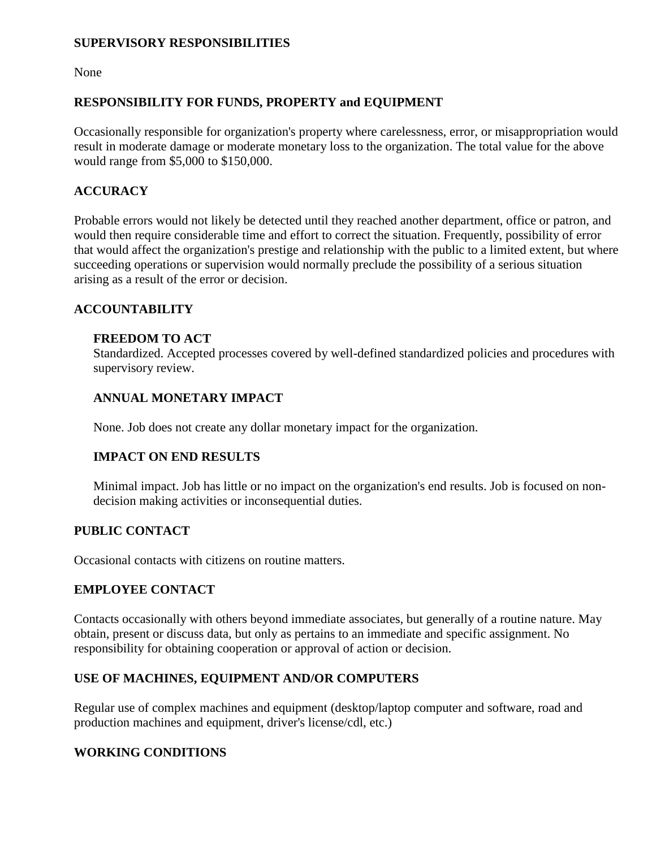#### **SUPERVISORY RESPONSIBILITIES**

None

# **RESPONSIBILITY FOR FUNDS, PROPERTY and EQUIPMENT**

Occasionally responsible for organization's property where carelessness, error, or misappropriation would result in moderate damage or moderate monetary loss to the organization. The total value for the above would range from \$5,000 to \$150,000.

# **ACCURACY**

Probable errors would not likely be detected until they reached another department, office or patron, and would then require considerable time and effort to correct the situation. Frequently, possibility of error that would affect the organization's prestige and relationship with the public to a limited extent, but where succeeding operations or supervision would normally preclude the possibility of a serious situation arising as a result of the error or decision.

#### **ACCOUNTABILITY**

#### **FREEDOM TO ACT**

Standardized. Accepted processes covered by well-defined standardized policies and procedures with supervisory review.

# **ANNUAL MONETARY IMPACT**

None. Job does not create any dollar monetary impact for the organization.

#### **IMPACT ON END RESULTS**

Minimal impact. Job has little or no impact on the organization's end results. Job is focused on nondecision making activities or inconsequential duties.

#### **PUBLIC CONTACT**

Occasional contacts with citizens on routine matters.

#### **EMPLOYEE CONTACT**

Contacts occasionally with others beyond immediate associates, but generally of a routine nature. May obtain, present or discuss data, but only as pertains to an immediate and specific assignment. No responsibility for obtaining cooperation or approval of action or decision.

#### **USE OF MACHINES, EQUIPMENT AND/OR COMPUTERS**

Regular use of complex machines and equipment (desktop/laptop computer and software, road and production machines and equipment, driver's license/cdl, etc.)

#### **WORKING CONDITIONS**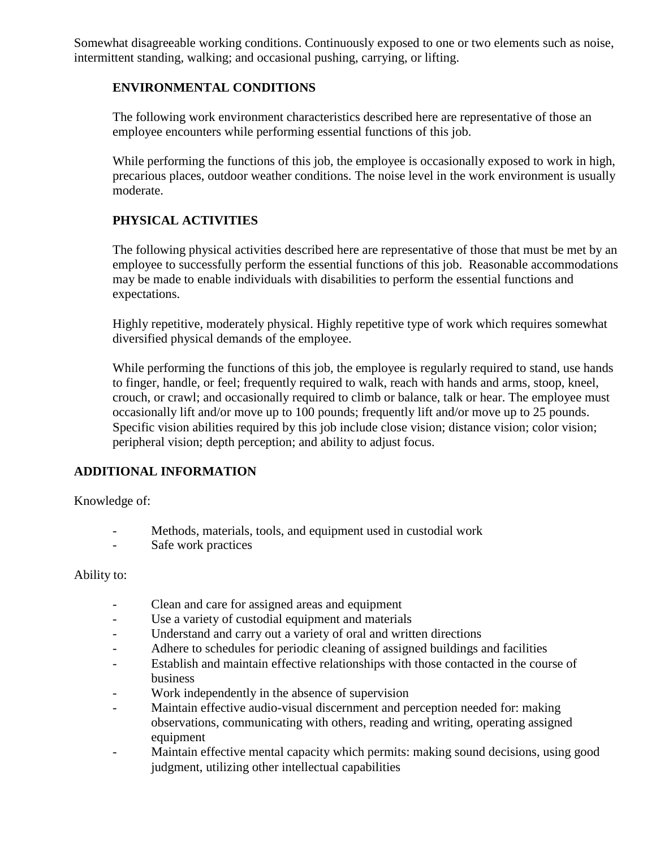Somewhat disagreeable working conditions. Continuously exposed to one or two elements such as noise, intermittent standing, walking; and occasional pushing, carrying, or lifting.

#### **ENVIRONMENTAL CONDITIONS**

The following work environment characteristics described here are representative of those an employee encounters while performing essential functions of this job.

While performing the functions of this job, the employee is occasionally exposed to work in high, precarious places, outdoor weather conditions. The noise level in the work environment is usually moderate.

# **PHYSICAL ACTIVITIES**

The following physical activities described here are representative of those that must be met by an employee to successfully perform the essential functions of this job. Reasonable accommodations may be made to enable individuals with disabilities to perform the essential functions and expectations.

Highly repetitive, moderately physical. Highly repetitive type of work which requires somewhat diversified physical demands of the employee.

While performing the functions of this job, the employee is regularly required to stand, use hands to finger, handle, or feel; frequently required to walk, reach with hands and arms, stoop, kneel, crouch, or crawl; and occasionally required to climb or balance, talk or hear. The employee must occasionally lift and/or move up to 100 pounds; frequently lift and/or move up to 25 pounds. Specific vision abilities required by this job include close vision; distance vision; color vision; peripheral vision; depth perception; and ability to adjust focus.

#### **ADDITIONAL INFORMATION**

Knowledge of:

- Methods, materials, tools, and equipment used in custodial work
- Safe work practices

#### Ability to:

- Clean and care for assigned areas and equipment
- Use a variety of custodial equipment and materials
- Understand and carry out a variety of oral and written directions
- Adhere to schedules for periodic cleaning of assigned buildings and facilities
- Establish and maintain effective relationships with those contacted in the course of business
- Work independently in the absence of supervision
- Maintain effective audio-visual discernment and perception needed for: making observations, communicating with others, reading and writing, operating assigned equipment
- Maintain effective mental capacity which permits: making sound decisions, using good judgment, utilizing other intellectual capabilities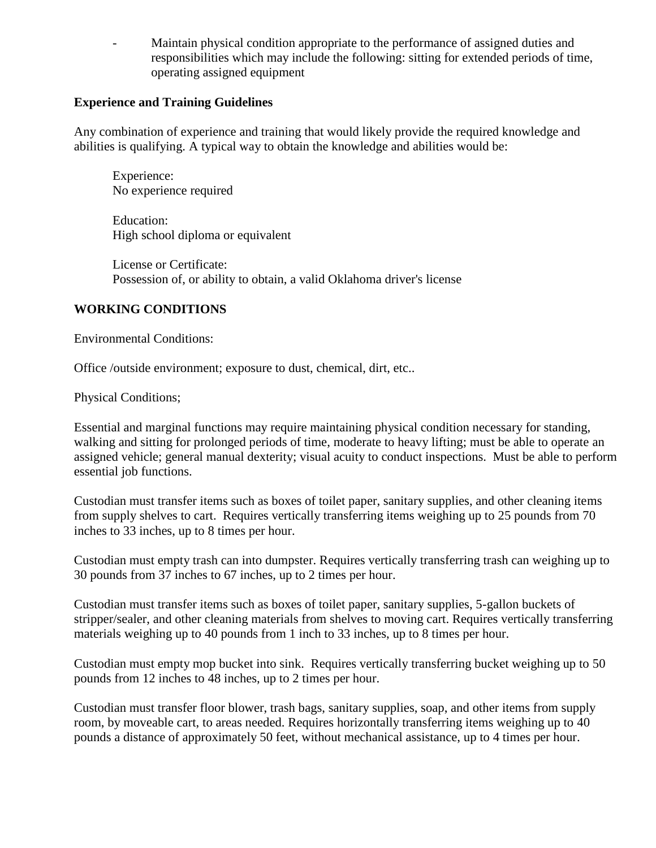Maintain physical condition appropriate to the performance of assigned duties and responsibilities which may include the following: sitting for extended periods of time, operating assigned equipment

#### **Experience and Training Guidelines**

Any combination of experience and training that would likely provide the required knowledge and abilities is qualifying. A typical way to obtain the knowledge and abilities would be:

Experience: No experience required

Education: High school diploma or equivalent

License or Certificate: Possession of, or ability to obtain, a valid Oklahoma driver's license

#### **WORKING CONDITIONS**

Environmental Conditions:

Office /outside environment; exposure to dust, chemical, dirt, etc..

Physical Conditions;

Essential and marginal functions may require maintaining physical condition necessary for standing, walking and sitting for prolonged periods of time, moderate to heavy lifting; must be able to operate an assigned vehicle; general manual dexterity; visual acuity to conduct inspections. Must be able to perform essential job functions.

Custodian must transfer items such as boxes of toilet paper, sanitary supplies, and other cleaning items from supply shelves to cart. Requires vertically transferring items weighing up to 25 pounds from 70 inches to 33 inches, up to 8 times per hour.

Custodian must empty trash can into dumpster. Requires vertically transferring trash can weighing up to 30 pounds from 37 inches to 67 inches, up to 2 times per hour.

Custodian must transfer items such as boxes of toilet paper, sanitary supplies, 5-gallon buckets of stripper/sealer, and other cleaning materials from shelves to moving cart. Requires vertically transferring materials weighing up to 40 pounds from 1 inch to 33 inches, up to 8 times per hour.

Custodian must empty mop bucket into sink. Requires vertically transferring bucket weighing up to 50 pounds from 12 inches to 48 inches, up to 2 times per hour.

Custodian must transfer floor blower, trash bags, sanitary supplies, soap, and other items from supply room, by moveable cart, to areas needed. Requires horizontally transferring items weighing up to 40 pounds a distance of approximately 50 feet, without mechanical assistance, up to 4 times per hour.